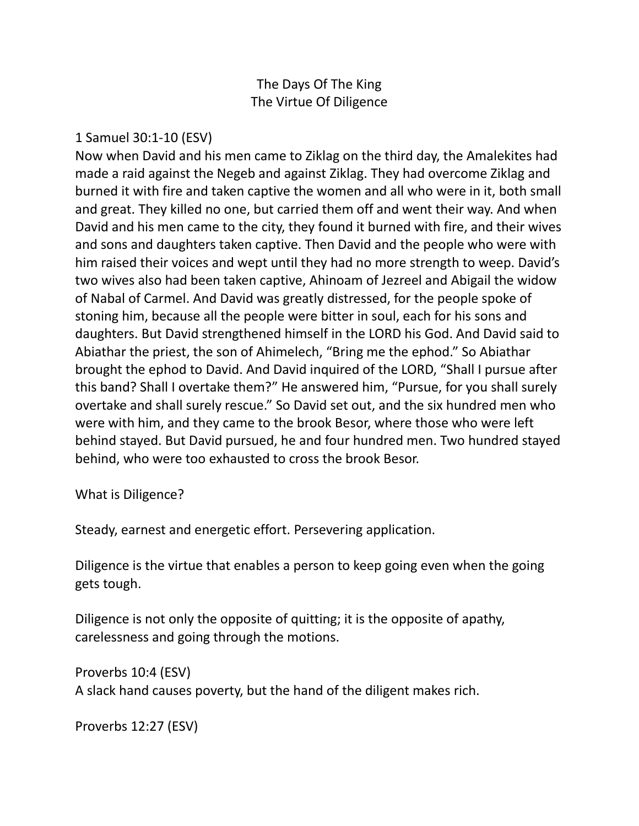## The Days Of The King The Virtue Of Diligence

#### 1 Samuel 30:1-10 (ESV)

Now when David and his men came to Ziklag on the third day, the Amalekites had made a raid against the Negeb and against Ziklag. They had overcome Ziklag and burned it with fire and taken captive the women and all who were in it, both small and great. They killed no one, but carried them off and went their way. And when David and his men came to the city, they found it burned with fire, and their wives and sons and daughters taken captive. Then David and the people who were with him raised their voices and wept until they had no more strength to weep. David's two wives also had been taken captive, Ahinoam of Jezreel and Abigail the widow of Nabal of Carmel. And David was greatly distressed, for the people spoke of stoning him, because all the people were bitter in soul, each for his sons and daughters. But David strengthened himself in the LORD his God. And David said to Abiathar the priest, the son of Ahimelech, "Bring me the ephod." So Abiathar brought the ephod to David. And David inquired of the LORD, "Shall I pursue after this band? Shall I overtake them?" He answered him, "Pursue, for you shall surely overtake and shall surely rescue." So David set out, and the six hundred men who were with him, and they came to the brook Besor, where those who were left behind stayed. But David pursued, he and four hundred men. Two hundred stayed behind, who were too exhausted to cross the brook Besor.

What is Diligence?

Steady, earnest and energetic effort. Persevering application.

Diligence is the virtue that enables a person to keep going even when the going gets tough.

Diligence is not only the opposite of quitting; it is the opposite of apathy, carelessness and going through the motions.

Proverbs 10:4 (ESV) A slack hand causes poverty, but the hand of the diligent makes rich.

```
Proverbs 12:27 (ESV)
```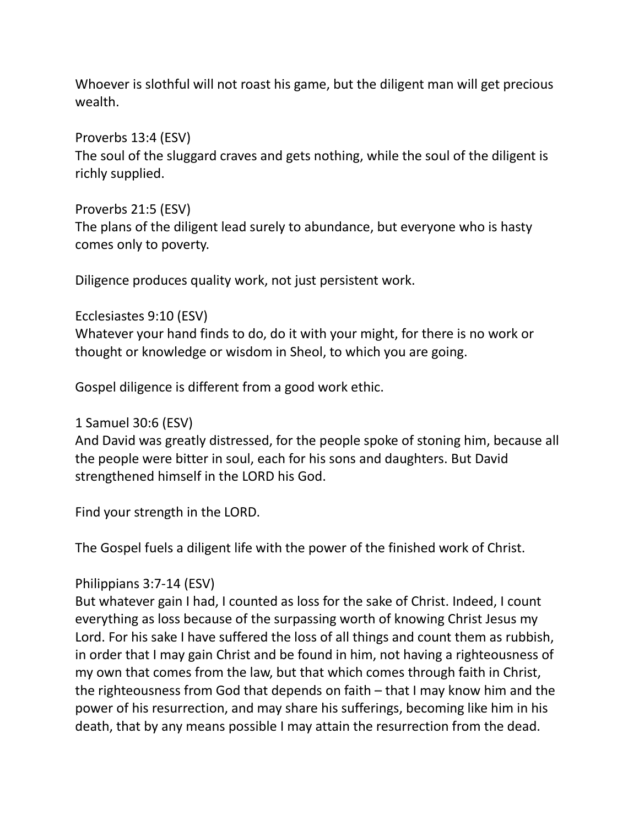Whoever is slothful will not roast his game, but the diligent man will get precious wealth.

Proverbs 13:4 (ESV)

The soul of the sluggard craves and gets nothing, while the soul of the diligent is richly supplied.

Proverbs 21:5 (ESV)

The plans of the diligent lead surely to abundance, but everyone who is hasty comes only to poverty.

Diligence produces quality work, not just persistent work.

Ecclesiastes 9:10 (ESV)

Whatever your hand finds to do, do it with your might, for there is no work or thought or knowledge or wisdom in Sheol, to which you are going.

Gospel diligence is different from a good work ethic.

1 Samuel 30:6 (ESV)

And David was greatly distressed, for the people spoke of stoning him, because all the people were bitter in soul, each for his sons and daughters. But David strengthened himself in the LORD his God.

Find your strength in the LORD.

The Gospel fuels a diligent life with the power of the finished work of Christ.

### Philippians 3:7-14 (ESV)

But whatever gain I had, I counted as loss for the sake of Christ. Indeed, I count everything as loss because of the surpassing worth of knowing Christ Jesus my Lord. For his sake I have suffered the loss of all things and count them as rubbish, in order that I may gain Christ and be found in him, not having a righteousness of my own that comes from the law, but that which comes through faith in Christ, the righteousness from God that depends on faith – that I may know him and the power of his resurrection, and may share his sufferings, becoming like him in his death, that by any means possible I may attain the resurrection from the dead.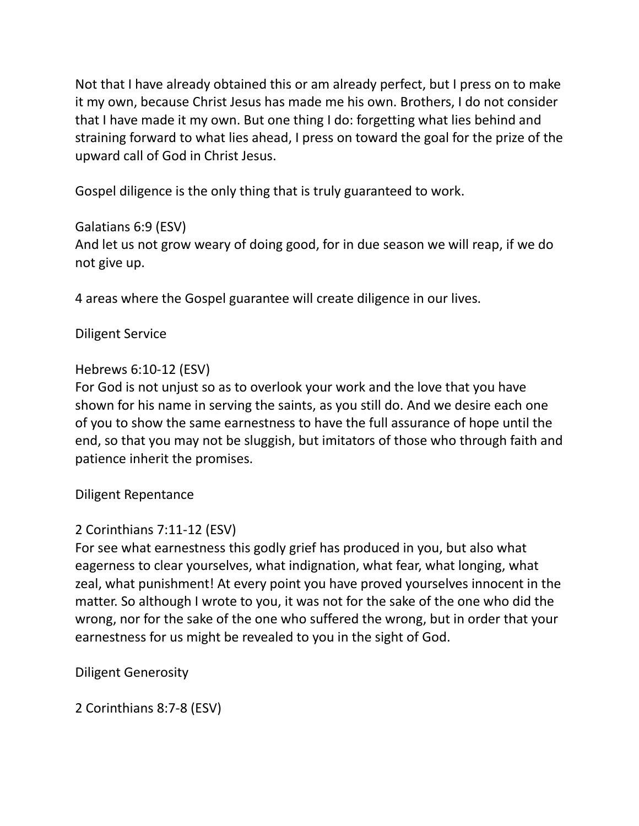Not that I have already obtained this or am already perfect, but I press on to make it my own, because Christ Jesus has made me his own. Brothers, I do not consider that I have made it my own. But one thing I do: forgetting what lies behind and straining forward to what lies ahead, I press on toward the goal for the prize of the upward call of God in Christ Jesus.

Gospel diligence is the only thing that is truly guaranteed to work.

# Galatians 6:9 (ESV)

And let us not grow weary of doing good, for in due season we will reap, if we do not give up.

4 areas where the Gospel guarantee will create diligence in our lives.

## Diligent Service

## Hebrews 6:10-12 (ESV)

For God is not unjust so as to overlook your work and the love that you have shown for his name in serving the saints, as you still do. And we desire each one of you to show the same earnestness to have the full assurance of hope until the end, so that you may not be sluggish, but imitators of those who through faith and patience inherit the promises.

### Diligent Repentance

# 2 Corinthians 7:11-12 (ESV)

For see what earnestness this godly grief has produced in you, but also what eagerness to clear yourselves, what indignation, what fear, what longing, what zeal, what punishment! At every point you have proved yourselves innocent in the matter. So although I wrote to you, it was not for the sake of the one who did the wrong, nor for the sake of the one who suffered the wrong, but in order that your earnestness for us might be revealed to you in the sight of God.

Diligent Generosity

2 Corinthians 8:7-8 (ESV)